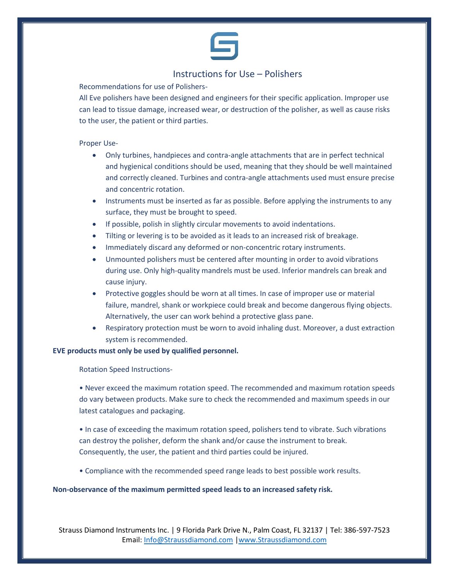

## Instructions for Use – Polishers

Recommendations for use of Polishers-

All Eve polishers have been designed and engineers for their specific application. Improper use can lead to tissue damage, increased wear, or destruction of the polisher, as well as cause risks to the user, the patient or third parties.

### Proper Use-

- Only turbines, handpieces and contra-angle attachments that are in perfect technical and hygienical conditions should be used, meaning that they should be well maintained and correctly cleaned. Turbines and contra-angle attachments used must ensure precise and concentric rotation.
- Instruments must be inserted as far as possible. Before applying the instruments to any surface, they must be brought to speed.
- If possible, polish in slightly circular movements to avoid indentations.
- Tilting or levering is to be avoided as it leads to an increased risk of breakage.
- Immediately discard any deformed or non-concentric rotary instruments.
- Unmounted polishers must be centered after mounting in order to avoid vibrations during use. Only high-quality mandrels must be used. Inferior mandrels can break and cause injury.
- Protective goggles should be worn at all times. In case of improper use or material failure, mandrel, shank or workpiece could break and become dangerous flying objects. Alternatively, the user can work behind a protective glass pane.
- Respiratory protection must be worn to avoid inhaling dust. Moreover, a dust extraction system is recommended.

### **EVE products must only be used by qualified personnel.**

Rotation Speed Instructions-

• Never exceed the maximum rotation speed. The recommended and maximum rotation speeds do vary between products. Make sure to check the recommended and maximum speeds in our latest catalogues and packaging.

• In case of exceeding the maximum rotation speed, polishers tend to vibrate. Such vibrations can destroy the polisher, deform the shank and/or cause the instrument to break. Consequently, the user, the patient and third parties could be injured.

• Compliance with the recommended speed range leads to best possible work results.

### **Non-observance of the maximum permitted speed leads to an increased safety risk.**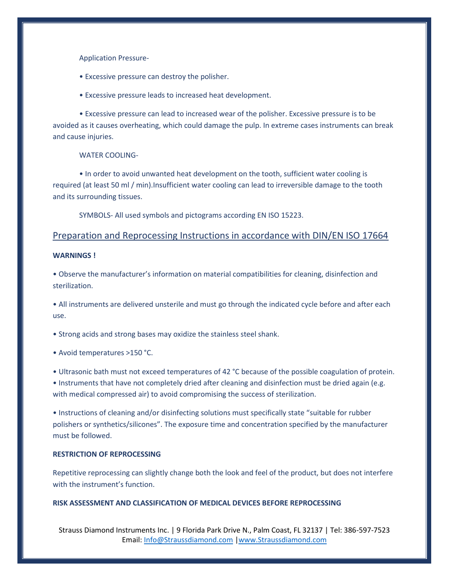Application Pressure-

- Excessive pressure can destroy the polisher.
- Excessive pressure leads to increased heat development.

• Excessive pressure can lead to increased wear of the polisher. Excessive pressure is to be avoided as it causes overheating, which could damage the pulp. In extreme cases instruments can break and cause injuries.

WATER COOLING-

• In order to avoid unwanted heat development on the tooth, sufficient water cooling is required (at least 50 ml / min).Insufficient water cooling can lead to irreversible damage to the tooth and its surrounding tissues.

SYMBOLS- All used symbols and pictograms according EN ISO 15223.

### Preparation and Reprocessing Instructions in accordance with DIN/EN ISO 17664

### **WARNINGS !**

• Observe the manufacturer's information on material compatibilities for cleaning, disinfection and sterilization.

• All instruments are delivered unsterile and must go through the indicated cycle before and after each use.

• Strong acids and strong bases may oxidize the stainless steel shank.

• Avoid temperatures >150 °C.

• Ultrasonic bath must not exceed temperatures of 42 °C because of the possible coagulation of protein.

• Instruments that have not completely dried after cleaning and disinfection must be dried again (e.g. with medical compressed air) to avoid compromising the success of sterilization.

• Instructions of cleaning and/or disinfecting solutions must specifically state "suitable for rubber polishers or synthetics/silicones". The exposure time and concentration specified by the manufacturer must be followed.

#### **RESTRICTION OF REPROCESSING**

Repetitive reprocessing can slightly change both the look and feel of the product, but does not interfere with the instrument's function.

#### **RISK ASSESSMENT AND CLASSIFICATION OF MEDICAL DEVICES BEFORE REPROCESSING**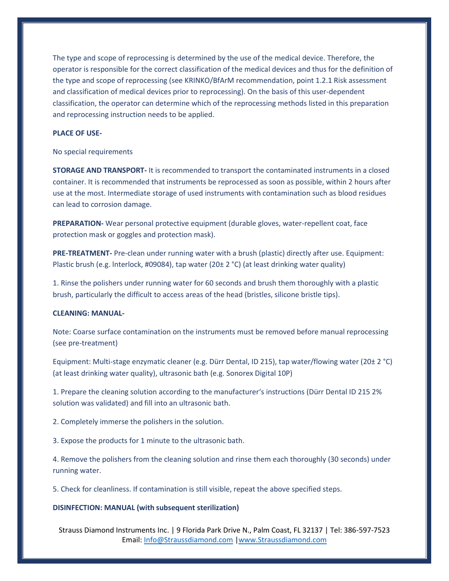The type and scope of reprocessing is determined by the use of the medical device. Therefore, the operator is responsible for the correct classification of the medical devices and thus for the definition of the type and scope of reprocessing (see KRINKO/BfArM recommendation, point 1.2.1 Risk assessment and classification of medical devices prior to reprocessing). On the basis of this user-dependent classification, the operator can determine which of the reprocessing methods listed in this preparation and reprocessing instruction needs to be applied.

### **PLACE OF USE-**

#### No special requirements

**STORAGE AND TRANSPORT-** It is recommended to transport the contaminated instruments in a closed container. It is recommended that instruments be reprocessed as soon as possible, within 2 hours after use at the most. Intermediate storage of used instruments with contamination such as blood residues can lead to corrosion damage.

**PREPARATION-** Wear personal protective equipment (durable gloves, water-repellent coat, face protection mask or goggles and protection mask).

**PRE-TREATMENT-** Pre-clean under running water with a brush (plastic) directly after use. Equipment: Plastic brush (e.g. lnterlock, #09084), tap water (20± 2 °C) (at least drinking water quality)

1. Rinse the polishers under running water for 60 seconds and brush them thoroughly with a plastic brush, particularly the difficult to access areas of the head (bristles, silicone bristle tips).

### **CLEANING: MANUAL-**

Note: Coarse surface contamination on the instruments must be removed before manual reprocessing (see pre-treatment)

Equipment: Multi-stage enzymatic cleaner (e.g. Dürr Dental, ID 215), tap water/flowing water (20± 2 °C) (at least drinking water quality), ultrasonic bath (e.g. Sonorex Digital 10P)

1. Prepare the cleaning solution according to the manufacturer's instructions (Dürr Dental ID 215 2% solution was validated) and fill into an ultrasonic bath.

2. Completely immerse the polishers in the solution.

3. Expose the products for 1 minute to the ultrasonic bath.

4. Remove the polishers from the cleaning solution and rinse them each thoroughly (30 seconds) under running water.

5. Check for cleanliness. If contamination is still visible, repeat the above specified steps.

#### **DISINFECTION: MANUAL (with subsequent sterilization)**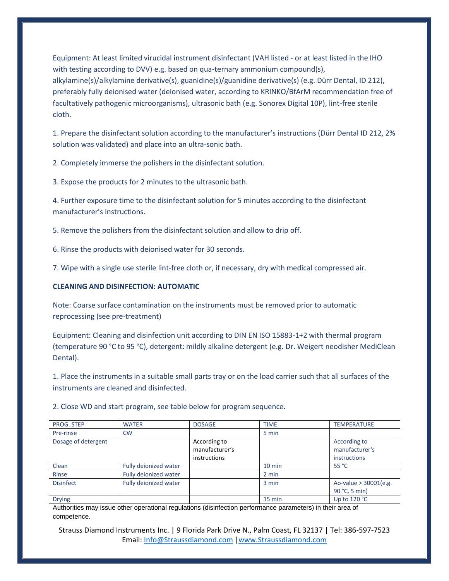Equipment: At least limited virucidal instrument disinfectant (VAH listed - or at least listed in the IHO with testing according to DVV) e.g. based on qua-ternary ammonium compound(s), alkylamine(s)/alkylamine derivative(s), guanidine(s)/guanidine derivative(s) (e.g. Dürr Dental, ID 212), preferably fully deionised water (deionised water, according to KRINKO/BfArM recommendation free of facultatively pathogenic microorganisms), ultrasonic bath (e.g. Sonorex Digital 10P), lint-free sterile cloth.

1. Prepare the disinfectant solution according to the manufacturer's instructions (Dürr Dental ID 212, 2% solution was validated) and place into an ultra-sonic bath.

2. Completely immerse the polishers in the disinfectant solution.

3. Expose the products for 2 minutes to the ultrasonic bath.

4. Further exposure time to the disinfectant solution for 5 minutes according to the disinfectant manufacturer's instructions.

5. Remove the polishers from the disinfectant solution and allow to drip off.

6. Rinse the products with deionised water for 30 seconds.

7. Wipe with a single use sterile lint-free cloth or, if necessary, dry with medical compressed air.

### **CLEANING AND DISINFECTION: AUTOMATIC**

Note: Coarse surface contamination on the instruments must be removed prior to automatic reprocessing (see pre-treatment)

Equipment: Cleaning and disinfection unit according to DIN EN ISO 15883-1+2 with thermal program (temperature 90 °C to 95 °C), detergent: mildly alkaline detergent (e.g. Dr. Weigert neodisher MediClean Dental).

1. Place the instruments in a suitable small parts tray or on the load carrier such that all surfaces of the instruments are cleaned and disinfected.

2. Close WD and start program, see table below for program sequence.

| PROG. STEP          | <b>WATER</b>          | <b>DOSAGE</b>  | <b>TIME</b> | <b>TEMPERATURE</b>      |
|---------------------|-----------------------|----------------|-------------|-------------------------|
| Pre-rinse           | <b>CW</b>             |                | 5 min       |                         |
| Dosage of detergent |                       | According to   |             | According to            |
|                     |                       | manufacturer's |             | manufacturer's          |
|                     |                       | instructions   |             | <i>instructions</i>     |
| Clean               | Fully deionized water |                | $10$ min    | 55 °C                   |
| Rinse               | Fully deionized water |                | 2 min       |                         |
| <b>Disinfect</b>    | Fully deionized water |                | 3 min       | Ao-value $>$ 30001(e.g. |
|                     |                       |                |             | 90 °C, 5 min)           |
| <b>Drying</b>       |                       |                | 15 min      | Up to $120 °C$          |

Authorities may issue other operational regulations (disinfection performance parameters) in their area of competence.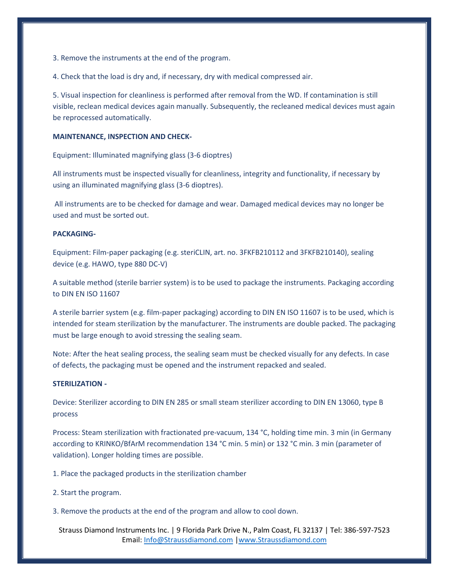3. Remove the instruments at the end of the program.

4. Check that the load is dry and, if necessary, dry with medical compressed air.

5. Visual inspection for cleanliness is performed after removal from the WD. If contamination is still visible, reclean medical devices again manually. Subsequently, the recleaned medical devices must again be reprocessed automatically.

#### **MAINTENANCE, INSPECTION AND CHECK-**

Equipment: Illuminated magnifying glass (3-6 dioptres)

All instruments must be inspected visually for cleanliness, integrity and functionality, if necessary by using an illuminated magnifying glass (3-6 dioptres).

All instruments are to be checked for damage and wear. Damaged medical devices may no longer be used and must be sorted out.

### **PACKAGING-**

Equipment: Film-paper packaging (e.g. steriCLIN, art. no. 3FKFB210112 and 3FKFB210140), sealing device (e.g. HAWO, type 880 DC-V)

A suitable method (sterile barrier system) is to be used to package the instruments. Packaging according to DIN EN ISO 11607

A sterile barrier system (e.g. film-paper packaging) according to DIN EN ISO 11607 is to be used, which is intended for steam sterilization by the manufacturer. The instruments are double packed. The packaging must be large enough to avoid stressing the sealing seam.

Note: After the heat sealing process, the sealing seam must be checked visually for any defects. In case of defects, the packaging must be opened and the instrument repacked and sealed.

#### **STERILIZATION -**

Device: Sterilizer according to DIN EN 285 or small steam sterilizer according to DIN EN 13060, type B process

Process: Steam sterilization with fractionated pre-vacuum, 134 °C, holding time min. 3 min (in Germany according to KRINKO/BfArM recommendation 134 °C min. 5 min) or 132 °C min. 3 min (parameter of validation). Longer holding times are possible.

1. Place the packaged products in the sterilization chamber

- 2. Start the program.
- 3. Remove the products at the end of the program and allow to cool down.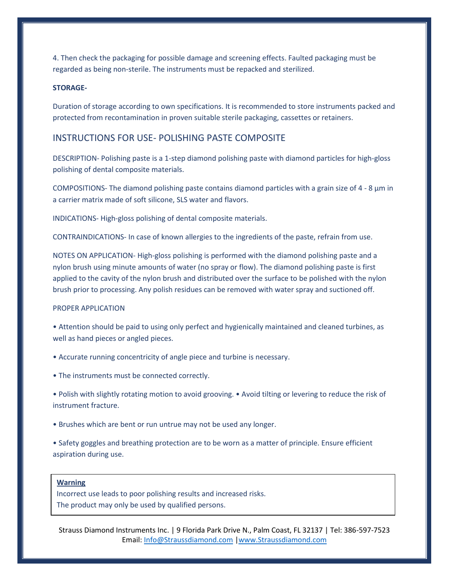4. Then check the packaging for possible damage and screening effects. Faulted packaging must be regarded as being non-sterile. The instruments must be repacked and sterilized.

### **STORAGE-**

Duration of storage according to own specifications. It is recommended to store instruments packed and protected from recontamination in proven suitable sterile packaging, cassettes or retainers.

### INSTRUCTIONS FOR USE- POLISHING PASTE COMPOSITE

DESCRIPTION- Polishing paste is a 1-step diamond polishing paste with diamond particles for high-gloss polishing of dental composite materials.

COMPOSITIONS- The diamond polishing paste contains diamond particles with a grain size of 4 - 8 μm in a carrier matrix made of soft silicone, SLS water and flavors.

INDICATIONS- High-gloss polishing of dental composite materials.

CONTRAINDICATIONS- In case of known allergies to the ingredients of the paste, refrain from use.

NOTES ON APPLICATION- High-gloss polishing is performed with the diamond polishing paste and a nylon brush using minute amounts of water (no spray or flow). The diamond polishing paste is first applied to the cavity of the nylon brush and distributed over the surface to be polished with the nylon brush prior to processing. Any polish residues can be removed with water spray and suctioned off.

#### PROPER APPLICATION

- Attention should be paid to using only perfect and hygienically maintained and cleaned turbines, as well as hand pieces or angled pieces.
- Accurate running concentricity of angle piece and turbine is necessary.
- The instruments must be connected correctly.
- Polish with slightly rotating motion to avoid grooving. Avoid tilting or levering to reduce the risk of instrument fracture.
- Brushes which are bent or run untrue may not be used any longer.
- Safety goggles and breathing protection are to be worn as a matter of principle. Ensure efficient aspiration during use.

#### **Warning**

Incorrect use leads to poor polishing results and increased risks. The product may only be used by qualified persons.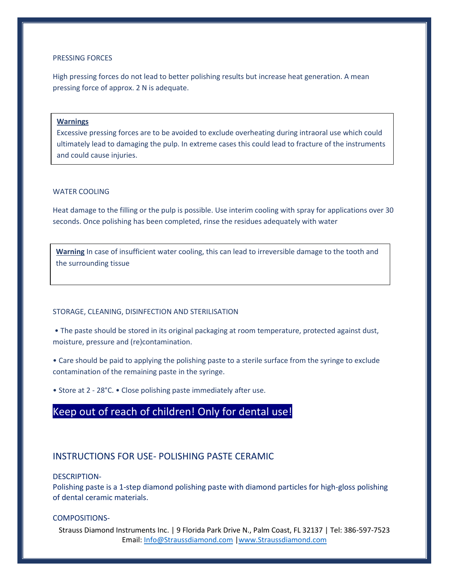#### PRESSING FORCES

High pressing forces do not lead to better polishing results but increase heat generation. A mean pressing force of approx. 2 N is adequate.

#### **Warnings**

Excessive pressing forces are to be avoided to exclude overheating during intraoral use which could ultimately lead to damaging the pulp. In extreme cases this could lead to fracture of the instruments and could cause injuries.

#### WATER COOLING

Heat damage to the filling or the pulp is possible. Use interim cooling with spray for applications over 30 seconds. Once polishing has been completed, rinse the residues adequately with water

**Warning** In case of insufficient water cooling, this can lead to irreversible damage to the tooth and the surrounding tissue

#### STORAGE, CLEANING, DISINFECTION AND STERILISATION

• The paste should be stored in its original packaging at room temperature, protected against dust, moisture, pressure and (re)contamination.

• Care should be paid to applying the polishing paste to a sterile surface from the syringe to exclude contamination of the remaining paste in the syringe.

• Store at 2 - 28°C. • Close polishing paste immediately after use.

# Keep out of reach of children! Only for dental use!

### INSTRUCTIONS FOR USE- POLISHING PASTE CERAMIC

DESCRIPTION-

Polishing paste is a 1-step diamond polishing paste with diamond particles for high-gloss polishing of dental ceramic materials.

### COMPOSITIONS-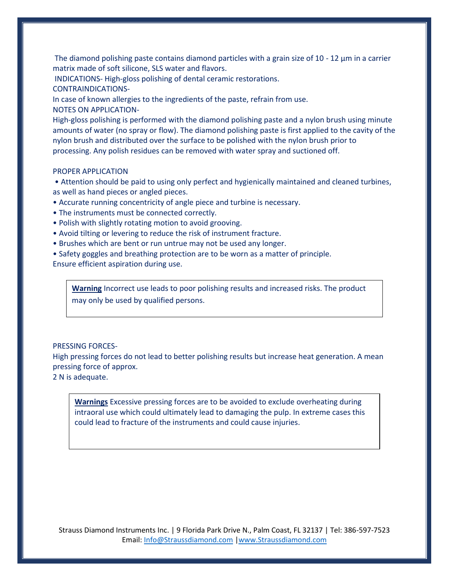The diamond polishing paste contains diamond particles with a grain size of 10 - 12  $\mu$ m in a carrier matrix made of soft silicone, SLS water and flavors.

INDICATIONS- High-gloss polishing of dental ceramic restorations.

CONTRAINDICATIONS-

In case of known allergies to the ingredients of the paste, refrain from use. NOTES ON APPLICATION-

High-gloss polishing is performed with the diamond polishing paste and a nylon brush using minute amounts of water (no spray or flow). The diamond polishing paste is first applied to the cavity of the nylon brush and distributed over the surface to be polished with the nylon brush prior to processing. Any polish residues can be removed with water spray and suctioned off.

### PROPER APPLICATION

• Attention should be paid to using only perfect and hygienically maintained and cleaned turbines, as well as hand pieces or angled pieces.

• Accurate running concentricity of angle piece and turbine is necessary.

- The instruments must be connected correctly.
- Polish with slightly rotating motion to avoid grooving.
- Avoid tilting or levering to reduce the risk of instrument fracture.
- Brushes which are bent or run untrue may not be used any longer.

• Safety goggles and breathing protection are to be worn as a matter of principle.

Ensure efficient aspiration during use.

**Warning** Incorrect use leads to poor polishing results and increased risks. The product may only be used by qualified persons.

### PRESSING FORCES-

High pressing forces do not lead to better polishing results but increase heat generation. A mean pressing force of approx.

2 N is adequate.

**Warnings** Excessive pressing forces are to be avoided to exclude overheating during intraoral use which could ultimately lead to damaging the pulp. In extreme cases this could lead to fracture of the instruments and could cause injuries.